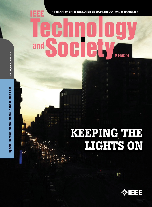### Е F F and **Magazine**

A PUBLICATION OF THE IEEE SOCIETY ON SOCIAL IMPLICATIONS OF TECHNOLOGY

# VOL. 37, NO. 2, JUNE 2018

Special Section: Social Media in the Middle East

# KEEPING THE<br>LIGHTS ON

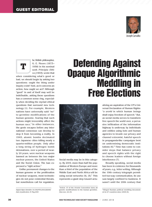

## T

he British philosopher, G. E. Moore (1873– 1958) in his seminal work *Principia Ethica (1903),* wrote that

when considering what's good or bad, we should begin by asking two questions: ought the thing under inquiry exist? And, as it concerns an action, how ought we act? Although "good" in and of itself may well be indefinable, asking these questions has a common sense ring, especially when deciding the myriad ethical questions that surround new technology [1]. For example, Western nations have universally said "no" to germline modifications of the human genome, fearing that such actions might irreversibly affect the human race.<sup>1</sup> In other instances, the genie escapes before any international consensus can develop to stop it from becoming a reality. In 1945, atomic bombs decimated two Japanese cities killing nearly a quarter-million people. Only after a long string of hydrogen bomb detonations, over a period of nearly 20 years, were nuclear weapons banned as between the two major nuclear powers, the United States and the Soviet Union. The ban expressed a "right action."

Unlike permanent changes to the human genome or the proliferation of nuclear weapons, most technologies do not pose existential threats, but nonetheless call for regulation.

*Digital Object Identifier 10.1109/MTS.2018.2826061 Date of publication: 31 May 2018*

## Defending Against Opaque Algorithmic Meddling in Free Elections



Social media may be in this category. By 2019, more than half the population of Western Europe and more than a third of the population of the Middle East and North Africa will be using social networks  $(4)$ ,  $(5)$ .<sup>1</sup> This represents a giant step toward actu-

<sup>1</sup>Article 13 of the Oviedo Convention bans all genetic modifications to the human germline. Also see, [2]–[3].

versal Declaration of Human Rights: "*a world* in which human beings shall enjoy freedom of speech." But, as social media serves to transform free speech the world over, a pervasive infiltration of the information highway is underway by individuals and entities using bots and human agencies to invade our privacy and channel extremist, hateful speech in propaganda-like campaigns bent on undermining democratic institutions  $(6)$ .<sup>2</sup> Time has come to consider steps that balance privacy and speech rights with the right to choose leaders without foreign interference [7].

alizing an aspiration of the UN's Uni-

Broadly speaking, social media has been in existence for thousands of years, e.g., letter writing. Although the 19th century telegraph permitted two-way communication, its use was largely confined to business. It wasn't until the 20th century that

<sup>&</sup>lt;sup>2</sup>Alleged Russian political meddling documented in 27 countries since 2004 [6].